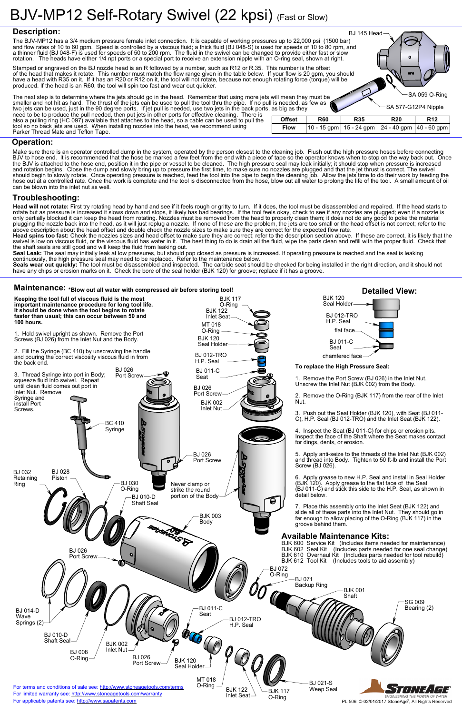#### **Operation:**

#### **Troubleshooting:**

**Detailed View:**

### **Maintenance: \*Blow out all water with compressed air before storing tool!**

Seal Leak: The seal may initially leak at low pressures, but should pop closed as pressure is increased. If operating pressure is reached and the seal is leaking continuously, the high pressure seal may need to be replaced. Refer to the maintenance below.

SA 059 O-Ring

SA 577-G12P4 Nipple

BJ 145 Head

**Head will not rotate:** First try rotating head by hand and see if it feels rough or gritty to turn. If it does, the tool must be disassembled and repaired. If the head starts to rotate but as pressure is increased it slows down and stops, it likely has bad bearings. If the tool feels okay, check to see if any nozzles are plugged; even if a nozzle is only partially blocked it can keep the head from rotating. Nozzles must be removed from the head to properly clean them; it does not do any good to poke the material plugging the nozzle back into the head, as it will just replug a nozzle. If none of these are the problem, the jets are too small or the head offset is not correct; refer to the above description about the head offset and double check the nozzle sizes to make sure they are correct for the expected flow rate.

| <b>Offset</b> | <b>R60</b> | <b>R35</b>                                            | <b>R20</b> | <b>R12</b> |
|---------------|------------|-------------------------------------------------------|------------|------------|
| <b>Flow</b>   |            | 10 - 15 gpm   15 - 24 gpm   24 - 40 gpm   40 - 60 gpm |            |            |

**Head spins too fast:** Check the nozzles sizes and head offset to make sure they are correct; refer to the description section above. If these are correct, it is likely that the swivel is low on viscous fluid, or the viscous fluid has water in it. The best thing to do is drain all the fluid, wipe the parts clean and refill with the proper fluid. Check that the shaft seals are still good and will keep the fluid from leaking out.

**Seals wear out quickly:** The tool must be disassembled and inspected. The carbide seat should be checked for being installed in the right direction, and it should not have any chips or erosion marks on it. Check the bore of the seal holder (BJK 120) for groove; replace if it has a groove.



Make sure there is an operator controlled dump in the system, operated by the person closest to the cleaning job. Flush out the high pressure hoses before connecting BJV to hose end. It is recommended that the hose be marked a few feet from the end with a piece of tape so the operator knows when to stop on the way back out. Once the BJV is attached to the hose end, position it in the pipe or vessel to be cleaned. The high pressure seal may leak initially; it should stop when pressure is increased and rotation begins. Close the dump and slowly bring up to pressure the first time, to make sure no nozzles are plugged and that the jet thrust is correct. The swivel should begin to slowly rotate. Once operating pressure is reached, feed the tool into the pipe to begin the cleaning job. Allow the jets time to do their work by feeding the hose out at a controlled rate. Once the work is complete and the tool is disconnected from the hose, blow out all water to prolong the life of the tool. A small amount of oil can be blown into the inlet nut as well.

The next step is to determine where the jets should go in the head. Remember that using more jets will mean they must be smaller and not hit as hard. The thrust of the jets can be used to pull the tool thru the pipe. If no pull is needed, as few as two jets can be used, just in the 90 degree ports. If jet pull is needed, use two jets in the back ports, as big as they need to be to produce the pull needed, then put jets in other ports for effective cleaning. There is also a pulling ring (HC 097) available that attaches to the head, so a cable can be used to pull the tool so no back jets are used. When installing nozzles into the head, we recommend using Parker Thread Mate and Teflon Tape.

## **Description:**

The BJV-MP12 has a 3/4 medium pressure female inlet connection. It is capable of working pressures up to 22,000 psi (1500 bar) and flow rates of 10 to 60 gpm. Speed is controlled by a viscous fluid; a thick fluid (BJ 048-S) is used for speeds of 10 to 80 rpm, and a thinner fluid (BJ 048-F) is used for speeds of 50 to 200 rpm. The fluid in the swivel can be changed to provide either fast or slow rotation. The heads have either 1/4 npt ports or a special port to receive an extension nipple with an O-ring seal, shown at right.

Stamped or engraved on the BJ nozzle head is an R followed by a number, such as R12 or R.35. This number is the offset of the head that makes it rotate. This number must match the flow range given in the table below. If your flow is 20 gpm, you should have a head with R35 on it. If it has an R20 or R12 on it, the tool will not rotate, because not enough rotating force (torque) will be produced. If the head is an R60, the tool will spin too fast and wear out quicker.